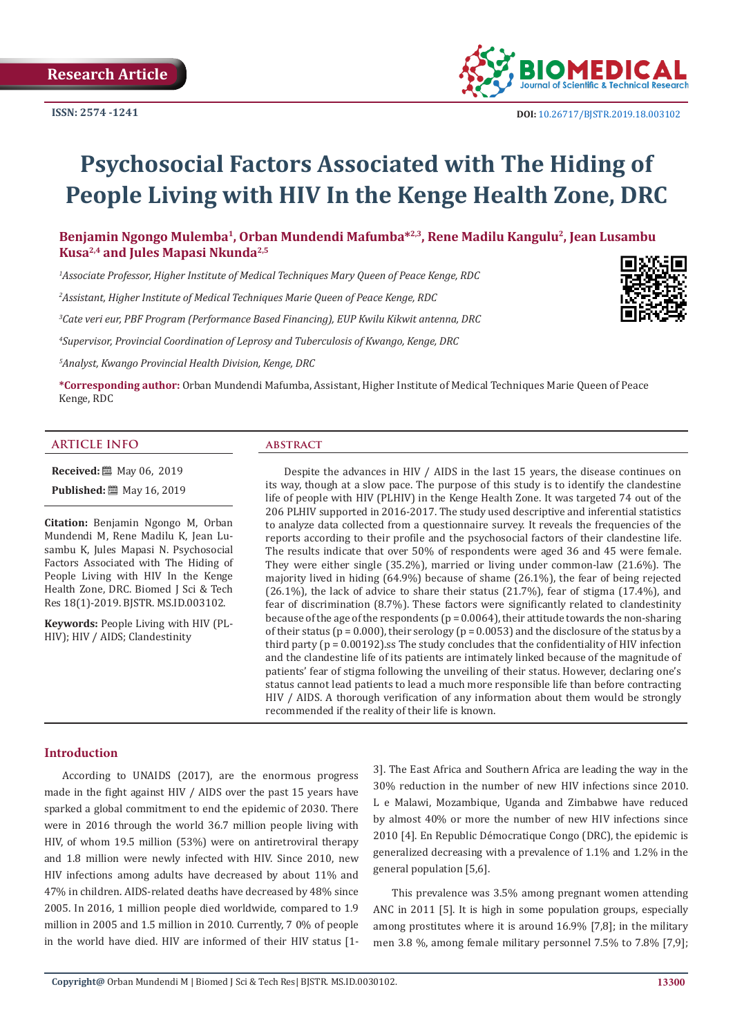

# **Psychosocial Factors Associated with The Hiding of People Living with HIV In the Kenge Health Zone, DRC**

Benjamin Ngongo Mulemba<sup>1</sup>, Orban Mundendi Mafumba<sup>\*2,3</sup>, Rene Madilu Kangulu<sup>2</sup>, Jean Lusambu **Kusa2,4 and Jules Mapasi Nkunda2,5** 

*1 Associate Professor, Higher Institute of Medical Techniques Mary Queen of Peace Kenge, RDC* 

*2 Assistant, Higher Institute of Medical Techniques Marie Queen of Peace Kenge, RDC* 

*3 Cate veri eur, PBF Program (Performance Based Financing), EUP Kwilu Kikwit antenna, DRC* 

*4 Supervisor, Provincial Coordination of Leprosy and Tuberculosis of Kwango, Kenge, DRC* 

*5 Analyst, Kwango Provincial Health Division, Kenge, DRC* 

**\*Corresponding author:** Orban Mundendi Mafumba, Assistant, Higher Institute of Medical Techniques Marie Queen of Peace Kenge, RDC

#### **ARTICLE INFO abstract**

**Received:** 圖 May 06, 2019

**Published:** 圖 May 16, 2019

**Citation:** Benjamin Ngongo M, Orban Mundendi M, Rene Madilu K, Jean Lusambu K, Jules Mapasi N. Psychosocial Factors Associated with The Hiding of People Living with HIV In the Kenge Health Zone, DRC. Biomed J Sci & Tech Res 18(1)-2019. BJSTR. MS.ID.003102.

**Keywords:** People Living with HIV (PL-HIV); HIV / AIDS; Clandestinity

Despite the advances in HIV / AIDS in the last 15 years, the disease continues on its way, though at a slow pace. The purpose of this study is to identify the clandestine life of people with HIV (PLHIV) in the Kenge Health Zone. It was targeted 74 out of the 206 PLHIV supported in 2016-2017. The study used descriptive and inferential statistics to analyze data collected from a questionnaire survey. It reveals the frequencies of the reports according to their profile and the psychosocial factors of their clandestine life. The results indicate that over 50% of respondents were aged 36 and 45 were female. They were either single (35.2%), married or living under common-law (21.6%). The majority lived in hiding (64.9%) because of shame (26.1%), the fear of being rejected (26.1%), the lack of advice to share their status (21.7%), fear of stigma (17.4%), and fear of discrimination (8.7%). These factors were significantly related to clandestinity because of the age of the respondents ( $p = 0.0064$ ), their attitude towards the non-sharing of their status ( $p = 0.000$ ), their serology ( $p = 0.0053$ ) and the disclosure of the status by a third party ( $p = 0.00192$ ).ss The study concludes that the confidentiality of HIV infection and the clandestine life of its patients are intimately linked because of the magnitude of patients' fear of stigma following the unveiling of their status. However, declaring one's status cannot lead patients to lead a much more responsible life than before contracting HIV / AIDS. A thorough verification of any information about them would be strongly recommended if the reality of their life is known.

# **Introduction**

According to UNAIDS (2017), are the enormous progress made in the fight against HIV / AIDS over the past 15 years have sparked a global commitment to end the epidemic of 2030. There were in 2016 through the world 36.7 million people living with HIV, of whom 19.5 million (53%) were on antiretroviral therapy and 1.8 million were newly infected with HIV. Since 2010, new HIV infections among adults have decreased by about 11% and 47% in children. AIDS-related deaths have decreased by 48% since 2005. In 2016, 1 million people died worldwide, compared to 1.9 million in 2005 and 1.5 million in 2010. Currently, 7 0% of people in the world have died. HIV are informed of their HIV status [13]. The East Africa and Southern Africa are leading the way in the 30% reduction in the number of new HIV infections since 2010. L e Malawi, Mozambique, Uganda and Zimbabwe have reduced by almost 40% or more the number of new HIV infections since 2010 [4]. En Republic Démocratique Congo (DRC), the epidemic is generalized decreasing with a prevalence of 1.1% and 1.2% in the general population [5,6].

This prevalence was 3.5% among pregnant women attending ANC in 2011 [5]. It is high in some population groups, especially among prostitutes where it is around 16.9% [7,8]; in the military men 3.8 %, among female military personnel 7.5% to 7.8% [7,9];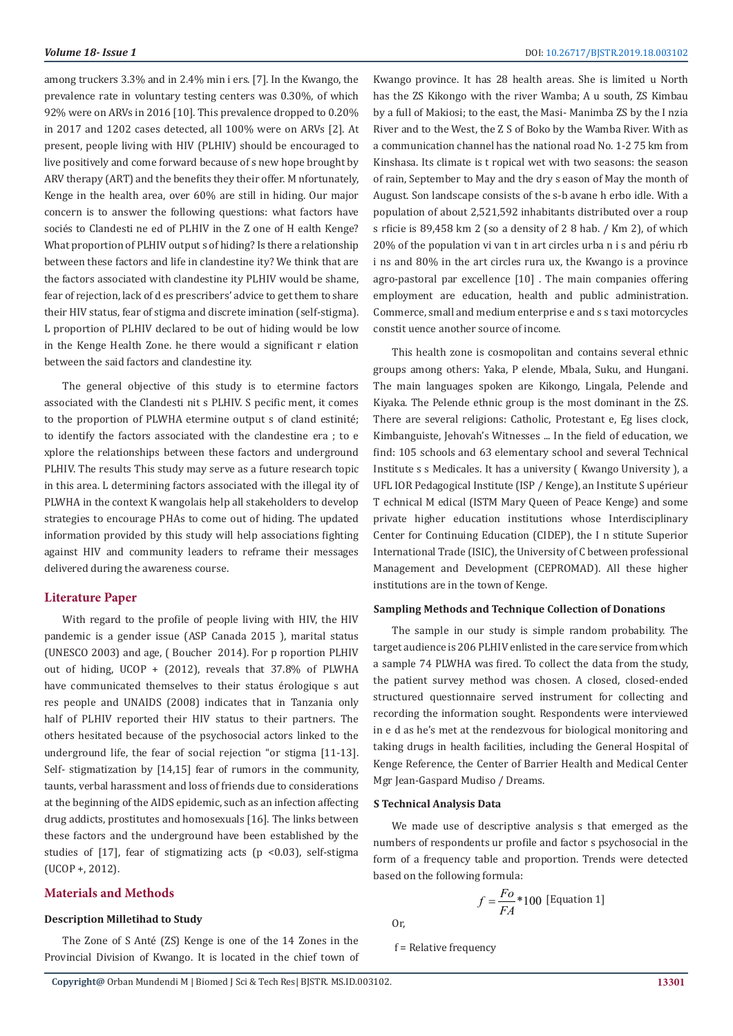among truckers 3.3% and in 2.4% min i ers. [7]. In the Kwango, the prevalence rate in voluntary testing centers was 0.30%, of which 92% were on ARVs in 2016 [10]. This prevalence dropped to 0.20% in 2017 and 1202 cases detected, all 100% were on ARVs [2]. At present, people living with HIV (PLHIV) should be encouraged to live positively and come forward because of s new hope brought by ARV therapy (ART) and the benefits they their offer. M nfortunately, Kenge in the health area, over 60% are still in hiding. Our major concern is to answer the following questions: what factors have sociés to Clandesti ne ed of PLHIV in the Z one of H ealth Kenge? What proportion of PLHIV output s of hiding? Is there a relationship between these factors and life in clandestine ity? We think that are the factors associated with clandestine ity PLHIV would be shame, fear of rejection, lack of d es prescribers' advice to get them to share their HIV status, fear of stigma and discrete imination (self-stigma). L proportion of PLHIV declared to be out of hiding would be low in the Kenge Health Zone. he there would a significant r elation between the said factors and clandestine ity.

The general objective of this study is to etermine factors associated with the Clandesti nit s PLHIV. S pecific ment, it comes to the proportion of PLWHA etermine output s of cland estinité; to identify the factors associated with the clandestine era ; to e xplore the relationships between these factors and underground PLHIV. The results This study may serve as a future research topic in this area. L determining factors associated with the illegal ity of PLWHA in the context K wangolais help all stakeholders to develop strategies to encourage PHAs to come out of hiding. The updated information provided by this study will help associations fighting against HIV and community leaders to reframe their messages delivered during the awareness course.

# **Literature Paper**

With regard to the profile of people living with HIV, the HIV pandemic is a gender issue (ASP Canada 2015 ), marital status (UNESCO 2003) and age, ( Boucher 2014). For p roportion PLHIV out of hiding, UCOP + (2012), reveals that 37.8% of PLWHA have communicated themselves to their status érologique s aut res people and UNAIDS (2008) indicates that in Tanzania only half of PLHIV reported their HIV status to their partners. The others hesitated because of the psychosocial actors linked to the underground life, the fear of social rejection "or stigma [11-13]. Self- stigmatization by [14,15] fear of rumors in the community, taunts, verbal harassment and loss of friends due to considerations at the beginning of the AIDS epidemic, such as an infection affecting drug addicts, prostitutes and homosexuals [16]. The links between these factors and the underground have been established by the studies of [17], fear of stigmatizing acts (p <0.03), self-stigma (UCOP +, 2012).

# **Materials and Methods**

# **Description Milletihad to Study**

The Zone of S Anté (ZS) Kenge is one of the 14 Zones in the Provincial Division of Kwango. It is located in the chief town of Kwango province. It has 28 health areas. She is limited u North has the ZS Kikongo with the river Wamba; A u south, ZS Kimbau by a full of Makiosi; to the east, the Masi- Manimba ZS by the I nzia River and to the West, the Z S of Boko by the Wamba River. With as a communication channel has the national road No. 1-2 75 km from Kinshasa. Its climate is t ropical wet with two seasons: the season of rain, September to May and the dry s eason of May the month of August. Son landscape consists of the s-b avane h erbo idle. With a population of about 2,521,592 inhabitants distributed over a roup s rficie is 89,458 km 2 (so a density of 2 8 hab. / Km 2), of which 20% of the population vi van t in art circles urba n i s and périu rb i ns and 80% in the art circles rura ux, the Kwango is a province agro-pastoral par excellence [10] . The main companies offering employment are education, health and public administration. Commerce, small and medium enterprise e and s s taxi motorcycles constit uence another source of income.

This health zone is cosmopolitan and contains several ethnic groups among others: Yaka, P elende, Mbala, Suku, and Hungani. The main languages spoken are Kikongo, Lingala, Pelende and Kiyaka. The Pelende ethnic group is the most dominant in the ZS. There are several religions: Catholic, Protestant e, Eg lises clock, Kimbanguiste, Jehovah's Witnesses ... In the field of education, we find: 105 schools and 63 elementary school and several Technical Institute s s Medicales. It has a university ( Kwango University ), a UFL IOR Pedagogical Institute (ISP / Kenge), an Institute S upérieur T echnical M edical (ISTM Mary Queen of Peace Kenge) and some private higher education institutions whose Interdisciplinary Center for Continuing Education (CIDEP), the I n stitute Superior International Trade (ISIC), the University of C between professional Management and Development (CEPROMAD). All these higher institutions are in the town of Kenge.

#### **Sampling Methods and Technique Collection of Donations**

The sample in our study is simple random probability. The target audience is 206 PLHIV enlisted in the care service from which a sample 74 PLWHA was fired. To collect the data from the study, the patient survey method was chosen. A closed, closed-ended structured questionnaire served instrument for collecting and recording the information sought. Respondents were interviewed in e d as he's met at the rendezvous for biological monitoring and taking drugs in health facilities, including the General Hospital of Kenge Reference, the Center of Barrier Health and Medical Center Mgr Jean-Gaspard Mudiso / Dreams.

#### **S Technical Analysis Data**

We made use of descriptive analysis s that emerged as the numbers of respondents ur profile and factor s psychosocial in the form of a frequency table and proportion. Trends were detected based on the following formula:

$$
f = \frac{Fo}{FA} * 100 \text{ [Equation 1]}
$$

Or,

f = Relative frequency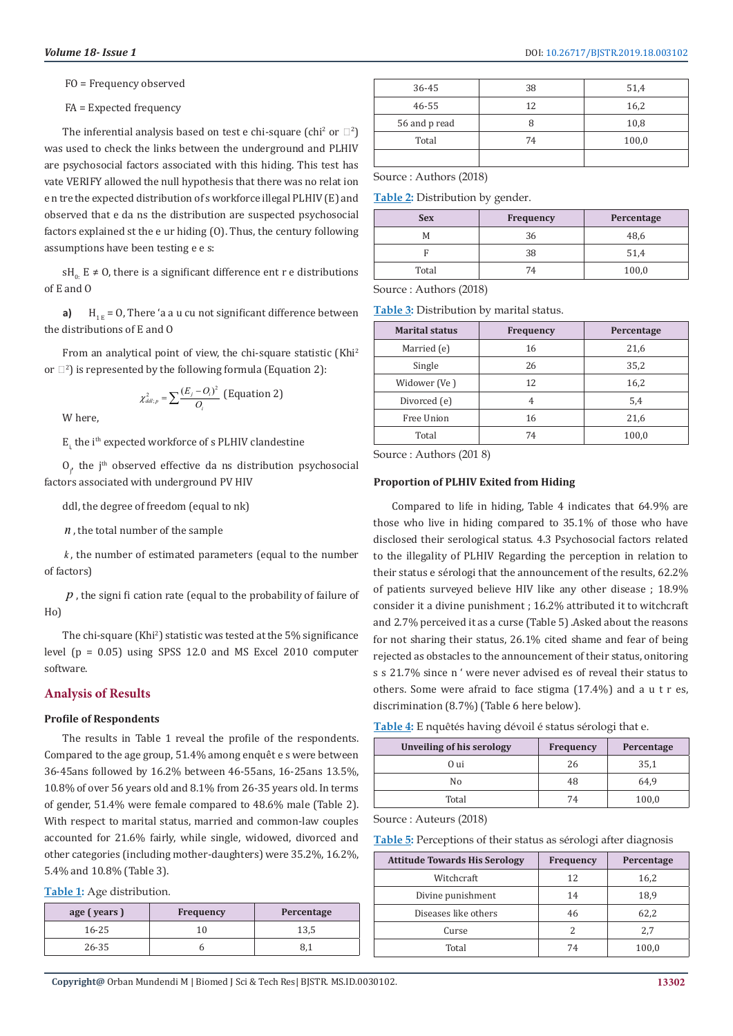FO = Frequency observed

FA = Expected frequency

The inferential analysis based on test e chi-square  $\text{(chi}^2 \text{ or } \mathbb{Z}^2\text{)}$ was used to check the links between the underground and PLHIV are psychosocial factors associated with this hiding. This test has vate VERIFY allowed the null hypothesis that there was no relat ion e n tre the expected distribution of s workforce illegal PLHIV (E) and observed that e da ns the distribution are suspected psychosocial factors explained st the e ur hiding (O). Thus, the century following assumptions have been testing e e s:

sH<sub>0</sub>: E  $\neq$  O, there is a significant difference ent r e distributions of E and O

**a)**  $H_{1F} = 0$ , There 'a a u cu not significant difference between the distributions of E and O

From an analytical point of view, the chi-square statistic (Khi<sup>2</sup>) or  $\Box^2$ ) is represented by the following formula (Equation 2):

$$
\chi^2_{ddl;p} = \sum \frac{(E_j - O_i)^2}{O_i} \text{ (Equation 2)}
$$

W here,

E<sub>i</sub>, the i<sup>th</sup> expected workforce of s PLHIV clandestine

 $O_{i'}$  the j<sup>th</sup> observed effective da ns distribution psychosocial factors associated with underground PV HIV

ddl, the degree of freedom (equal to nk)

*n* , the total number of the sample

*k* , the number of estimated parameters (equal to the number of factors)

*p* , the signi fi cation rate (equal to the probability of failure of Ho)

The chi-square (Khi<sup>2</sup>) statistic was tested at the 5% significance level (p = 0.05) using SPSS 12.0 and MS Excel 2010 computer software.

# **Analysis of Results**

## **Profile of Respondents**

The results in Table 1 reveal the profile of the respondents. Compared to the age group, 51.4% among enquêt e s were between 36-45ans followed by 16.2% between 46-55ans, 16-25ans 13.5%, 10.8% of over 56 years old and 8.1% from 26-35 years old. In terms of gender, 51.4% were female compared to 48.6% male (Table 2). With respect to marital status, married and common-law couples accounted for 21.6% fairly, while single, widowed, divorced and other categories (including mother-daughters) were 35.2%, 16.2%, 5.4% and 10.8% (Table 3).

**Table 1:** Age distribution.

| age (years) | <b>Frequency</b> | Percentage |
|-------------|------------------|------------|
| 16-25       | 10               | 13,5       |
| 26-35       |                  |            |

| 36-45         | 38 | 51,4  |
|---------------|----|-------|
| 46-55         | 12 | 16,2  |
| 56 and p read |    | 10,8  |
| Total         | 74 | 100,0 |
|               |    |       |

Source : Authors (2018)

**Table 2:** Distribution by gender.

| <b>Sex</b> | <b>Frequency</b> | Percentage |
|------------|------------------|------------|
| M          | 36               | 48.6       |
|            | 38               | 51.4       |
| Total      | 74               | 100,0      |

Source : Authors (2018)

**Table 3:** Distribution by marital status.

| <b>Marital status</b> | Frequency | Percentage |
|-----------------------|-----------|------------|
| Married (e)           | 16        | 21,6       |
| Single                | 26        | 35,2       |
| Widower (Ve)          | 12        | 16,2       |
| Divorced (e)          | 4         | 5,4        |
| Free Union            | 16        | 21,6       |
| Total                 | 74        | 100,0      |

Source : Authors (201 8)

## **Proportion of PLHIV Exited from Hiding**

Compared to life in hiding, Table 4 indicates that 64.9% are those who live in hiding compared to 35.1% of those who have disclosed their serological status. 4.3 Psychosocial factors related to the illegality of PLHIV Regarding the perception in relation to their status e sérologi that the announcement of the results, 62.2% of patients surveyed believe HIV like any other disease ; 18.9% consider it a divine punishment ; 16.2% attributed it to witchcraft and 2.7% perceived it as a curse (Table 5) .Asked about the reasons for not sharing their status, 26.1% cited shame and fear of being rejected as obstacles to the announcement of their status, onitoring s s 21.7% since n ' were never advised es of reveal their status to others. Some were afraid to face stigma (17.4%) and a u t r es, discrimination (8.7%) (Table 6 here below).

|  |  |  |  | Table 4: E nquêtés having dévoil é status sérologi that e. |
|--|--|--|--|------------------------------------------------------------|
|--|--|--|--|------------------------------------------------------------|

| <b>Frequency</b> | Percentage |  |
|------------------|------------|--|
| 26               | 35,1       |  |
| 48               | 64.9       |  |
| 74               | 100,0      |  |
|                  |            |  |

Source : Auteurs (2018)

**Table 5:** Perceptions of their status as sérologi after diagnosis

| <b>Attitude Towards His Serology</b> | <b>Frequency</b> | Percentage |
|--------------------------------------|------------------|------------|
| Witchcraft                           | 12               | 16,2       |
| Divine punishment                    | 14               | 18,9       |
| Diseases like others                 | 46               | 62,2       |
| Curse                                |                  | 2.7        |
| Total                                | 74               | 100.0      |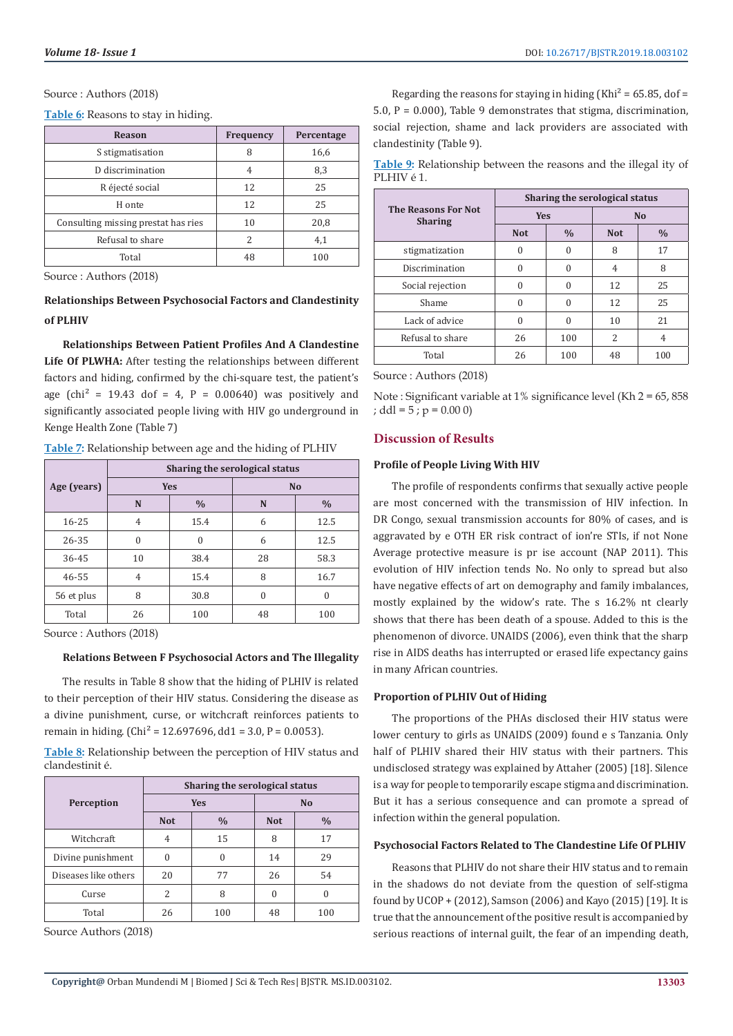#### Source: Authors (2018)

Table 6: Reasons to stay in hiding.

| <b>Reason</b>                       | Frequency | Percentage |
|-------------------------------------|-----------|------------|
| S stigmatisation                    | 8         | 16,6       |
| D discrimination                    | 4         | 8,3        |
| R éjecté social                     | 12        | 25         |
| H onte                              | 12        | 25         |
| Consulting missing prestat has ries | 10        | 20,8       |
| Refusal to share                    | 2         | 4,1        |
| Total                               | 48        | 100        |

Source: Authors (2018)

# Relationships Between Psychosocial Factors and Clandestinity of PLHIV

**Relationships Between Patient Profiles And A Clandestine** Life Of PLWHA: After testing the relationships between different factors and hiding, confirmed by the chi-square test, the patient's age (chi<sup>2</sup> = 19.43 dof = 4, P =  $0.00640$ ) was positively and significantly associated people living with HIV go underground in Kenge Health Zone (Table 7)

Table 7: Relationship between age and the hiding of PLHIV

|             | Sharing the serological status   |          |           |               |  |
|-------------|----------------------------------|----------|-----------|---------------|--|
| Age (years) | <b>Yes</b><br>$\frac{0}{0}$<br>N |          | <b>No</b> |               |  |
|             |                                  |          | N         | $\frac{0}{0}$ |  |
| $16 - 25$   | 4                                | 15.4     | 6         | 12.5          |  |
| 26-35       | $\theta$                         | $\Omega$ | 6         | 12.5          |  |
| 36-45       | 10                               | 38.4     | 28        | 58.3          |  |
| 46-55       | $\overline{4}$                   | 15.4     | 8         | 16.7          |  |
| 56 et plus  | 8                                | 30.8     | 0         | $\Omega$      |  |
| Total       | 26                               | 100      | 48        | 100           |  |

Source: Authors (2018)

#### Relations Between F Psychosocial Actors and The Illegality

The results in Table 8 show that the hiding of PLHIV is related to their perception of their HIV status. Considering the disease as a divine punishment, curse, or witchcraft reinforces patients to remain in hiding. (Chi<sup>2</sup> = 12.697696, dd1 = 3.0, P = 0.0053).

Table 8: Relationship between the perception of HIV status and clandestinit é.

|                      | Sharing the serological status |               |                |               |  |
|----------------------|--------------------------------|---------------|----------------|---------------|--|
| Perception           | <b>Yes</b>                     |               | N <sub>o</sub> |               |  |
|                      | <b>Not</b>                     | $\frac{0}{0}$ | <b>Not</b>     | $\frac{0}{0}$ |  |
| Witchcraft           | 4                              | 15            | 8              | 17            |  |
| Divine punishment    |                                | 0             | 14             | 29            |  |
| Diseases like others | 20                             | 77            | 26             | 54            |  |
| Curse                | 2                              | 8             | 0              |               |  |
| Total                | 26                             | 100           | 48             | 100           |  |

Source Authors (2018)

Regarding the reasons for staying in hiding (Khi<sup>2</sup> = 65.85, dof = 5.0,  $P = 0.000$ ), Table 9 demonstrates that stigma, discrimination, social rejection, shame and lack providers are associated with clandestinity (Table 9).

Table 9: Relationship between the reasons and the illegal ity of PLHIVé1.

|                                              | Sharing the serological status |               |                |               |  |
|----------------------------------------------|--------------------------------|---------------|----------------|---------------|--|
| <b>The Reasons For Not</b><br><b>Sharing</b> | <b>Yes</b>                     |               | N <sub>o</sub> |               |  |
|                                              | <b>Not</b>                     | $\frac{0}{0}$ | <b>Not</b>     | $\frac{0}{0}$ |  |
| stigmatization                               | $\theta$                       | 0             | 8              | 17            |  |
| Discrimination                               | $\Omega$                       | 0             | 4              | 8             |  |
| Social rejection                             | $\theta$                       | 0             | 12             | 25            |  |
| Shame                                        | 0                              | 0             | 12             | 25            |  |
| Lack of advice                               | $\theta$                       | 0             | 10             | 21            |  |
| Refusal to share                             | 26                             | 100           | 2              | 4             |  |
| Total                                        | 26                             | 100           | 48             | 100           |  |

Source: Authors (2018)

Note: Significant variable at 1% significance level (Kh 2 = 65, 858 ;  $ddl = 5$ ;  $p = 0.000$ )

# **Discussion of Results**

# **Profile of People Living With HIV**

The profile of respondents confirms that sexually active people are most concerned with the transmission of HIV infection. In DR Congo, sexual transmission accounts for 80% of cases, and is aggravated by e OTH ER risk contract of ion're STIs, if not None Average protective measure is pr ise account (NAP 2011). This evolution of HIV infection tends No. No only to spread but also have negative effects of art on demography and family imbalances, mostly explained by the widow's rate. The s 16.2% nt clearly shows that there has been death of a spouse. Added to this is the phenomenon of divorce, UNAIDS (2006), even think that the sharp rise in AIDS deaths has interrupted or erased life expectancy gains in many African countries.

#### **Proportion of PLHIV Out of Hiding**

The proportions of the PHAs disclosed their HIV status were lower century to girls as UNAIDS (2009) found e s Tanzania. Only half of PLHIV shared their HIV status with their partners. This undisclosed strategy was explained by Attaher (2005) [18]. Silence is a way for people to temporarily escape stigma and discrimination. But it has a serious consequence and can promote a spread of infection within the general population.

# **Psychosocial Factors Related to The Clandestine Life Of PLHIV**

Reasons that PLHIV do not share their HIV status and to remain in the shadows do not deviate from the question of self-stigma found by UCOP + (2012), Samson (2006) and Kayo (2015) [19]. It is true that the announcement of the positive result is accompanied by serious reactions of internal guilt, the fear of an impending death,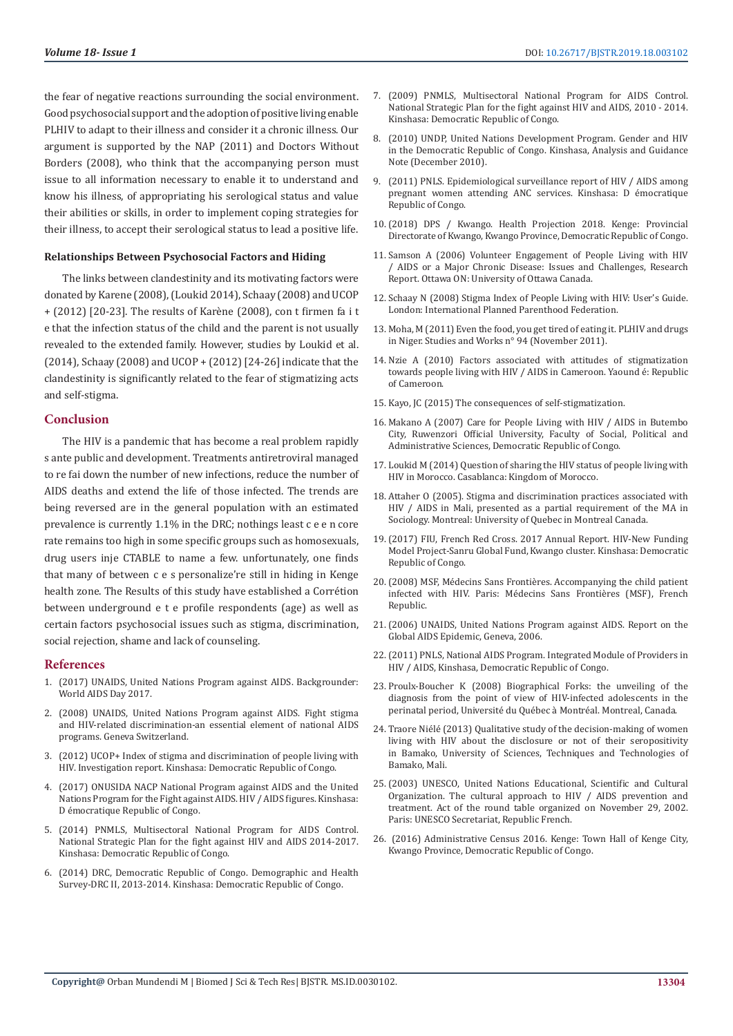the fear of negative reactions surrounding the social environment. Good psychosocial support and the adoption of positive living enable PLHIV to adapt to their illness and consider it a chronic illness. Our argument is supported by the NAP (2011) and Doctors Without Borders (2008), who think that the accompanying person must issue to all information necessary to enable it to understand and know his illness, of appropriating his serological status and value their abilities or skills, in order to implement coping strategies for their illness, to accept their serological status to lead a positive life.

#### **Relationships Between Psychosocial Factors and Hiding**

The links between clandestinity and its motivating factors were donated by Karene (2008), (Loukid 2014), Schaay (2008) and UCOP + (2012) [20-23]. The results of Karène (2008), con t firmen fa i t e that the infection status of the child and the parent is not usually revealed to the extended family. However, studies by Loukid et al. (2014), Schaay (2008) and UCOP + (2012) [24-26] indicate that the clandestinity is significantly related to the fear of stigmatizing acts and self-stigma.

#### **Conclusion**

The HIV is a pandemic that has become a real problem rapidly s ante public and development. Treatments antiretroviral managed to re fai down the number of new infections, reduce the number of AIDS deaths and extend the life of those infected. The trends are being reversed are in the general population with an estimated prevalence is currently 1.1% in the DRC; nothings least c e e n core rate remains too high in some specific groups such as homosexuals, drug users inje CTABLE to name a few. unfortunately, one finds that many of between c e s personalize're still in hiding in Kenge health zone. The Results of this study have established a Corrétion between underground e t e profile respondents (age) as well as certain factors psychosocial issues such as stigma, discrimination, social rejection, shame and lack of counseling.

#### **References**

- 1. [\(2017\) UNAIDS, United Nations Program against AIDS. Backgrounder:](https://www.unaids.org/en/resources/documents/2017/2017_data_book)  [World AIDS Day 2017.](https://www.unaids.org/en/resources/documents/2017/2017_data_book)
- 2. (2008) UNAIDS, United Nations Program against AIDS. Fight stigma and HIV-related discrimination-an essential element of national AIDS programs. Geneva Switzerland.
- 3. (2012) UCOP+ Index of stigma and discrimination of people living with HIV. Investigation report. Kinshasa: Democratic Republic of Congo.
- 4. (2017) ONUSIDA NACP National Program against AIDS and the United Nations Program for the Fight against AIDS. HIV / AIDS figures. Kinshasa: D émocratique Republic of Congo.
- 5. (2014) PNMLS, Multisectoral National Program for AIDS Control. National Strategic Plan for the fight against HIV and AIDS 2014-2017. Kinshasa: Democratic Republic of Congo.
- 6. [\(2014\) DRC, Democratic Republic of Congo. Demographic and Health](https://dhsprogram.com/what-we-do/survey/survey-display-421.cfm)  [Survey-DRC II, 2013-2014. Kinshasa: Democratic Republic of Congo.](https://dhsprogram.com/what-we-do/survey/survey-display-421.cfm)
- 7. (2009) PNMLS, Multisectoral National Program for AIDS Control. National Strategic Plan for the fight against HIV and AIDS, 2010 - 2014. Kinshasa: Democratic Republic of Congo.
- 8. [\(2010\) UNDP, United Nations Development Program. Gender and HIV](https://www.unaids.org/en/keywords/democratic-republic-congo) [in the Democratic Republic of Congo. Kinshasa, Analysis and Guidance](https://www.unaids.org/en/keywords/democratic-republic-congo) [Note \(December 2010\).](https://www.unaids.org/en/keywords/democratic-republic-congo)
- 9. (2011) PNLS. Epidemiological surveillance report of HIV / AIDS among pregnant women attending ANC services. Kinshasa: D émocratique Republic of Congo.
- 10.[\(2018\) DPS / Kwango. Health Projection 2018. Kenge: Provincial](https://www.unfpa.org/sites/default/files/admin-resource/H4JPCS_DRC_Country_Note_Final.pdf) [Directorate of Kwango, Kwango Province, Democratic Republic of Congo.](https://www.unfpa.org/sites/default/files/admin-resource/H4JPCS_DRC_Country_Note_Final.pdf)
- 11. Samson A (2006) Volunteer Engagement of People Living with HIV / AIDS or a Major Chronic Disease: Issues and Challenges, Research Report. Ottawa ON: University of Ottawa Canada.
- 12. Schaay N (2008) Stigma Index of People Living with HIV: User's Guide. London: International Planned Parenthood Federation.
- 13. Moha, M (2011) Even the food, you get tired of eating it. PLHIV and drugs in Niger. Studies and Works n° 94 (November 2011).
- 14. Nzie A (2010) Factors associated with attitudes of stigmatization towards people living with HIV / AIDS in Cameroon. Yaound é: Republic of Cameroon.
- 15. Kayo, JC (2015) The consequences of self-stigmatization.
- 16. Makano A (2007) Care for People Living with HIV / AIDS in Butembo City, Ruwenzori Official University, Faculty of Social, Political and Administrative Sciences, Democratic Republic of Congo.
- 17. Loukid M (2014) Question of sharing the HIV status of people living with HIV in Morocco. Casablanca: Kingdom of Morocco.
- 18. Attaher O (2005). Stigma and discrimination practices associated with HIV / AIDS in Mali, presented as a partial requirement of the MA in Sociology. Montreal: University of Quebec in Montreal Canada.
- 19.(2017) FIU, French Red Cross. 2017 Annual Report. HIV-New Funding Model Project-Sanru Global Fund, Kwango cluster. Kinshasa: Democratic Republic of Congo.
- 20.(2008) MSF, Médecins Sans Frontières. Accompanying the child patient infected with HIV. Paris: Médecins Sans Frontières (MSF), French Republic.
- 21.(2006) UNAIDS, United Nations Program against AIDS. Report on the Global AIDS Epidemic, Geneva, 2006.
- 22.(2011) PNLS, National AIDS Program. Integrated Module of Providers in HIV / AIDS, Kinshasa, Democratic Republic of Congo.
- 23. Proulx-Boucher K (2008) Biographical Forks: the unveiling of the diagnosis from the point of view of HIV-infected adolescents in the perinatal period, Université du Québec à Montréal. Montreal, Canada.
- 24. Traore Niélé (2013) Qualitative study of the decision-making of women living with HIV about the disclosure or not of their seropositivity in Bamako, University of Sciences, Techniques and Technologies of Bamako, Mali.
- 25.(2003) UNESCO, United Nations Educational, Scientific and Cultural Organization. The cultural approach to HIV / AIDS prevention and treatment. Act of the round table organized on November 29, 2002. Paris: UNESCO Secretariat, Republic French.
- 26. (2016) Administrative Census 2016. Kenge: Town Hall of Kenge City, Kwango Province, Democratic Republic of Congo.